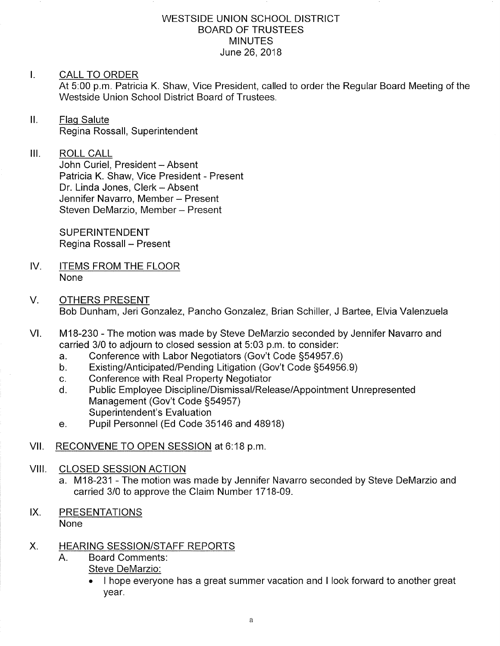#### WESTSIDE UNION SCHOOL DISTRICT BOARD OF TRUSTEES **MINUTES** June 26,2018

#### I. CALL TO ORDER

At 5.00 p.m. Patricia K. Shaw, Vice President, called to order the Regular Board Meeting of the Westside Union School District Board of Trustees.

ll. Flaq Salute Regina Rossall, Superintendent

 $III.$ ROLL CALL

John Curiel, President - Absent Patricia K. Shaw, Vice President - Present Dr. Linda Jones, Clerk - Absent Jennifer Navarro, Member - Present Steven DeMarzio, Member - Present

**SUPERINTENDENT** Regina Rossall - Present

- IV. ITEMS FROM THE FLOOR None
- OTHERS PRESENT Bob Dunham, Jeri Gonzalez, Pancho Gonzalez, Brian Schiller, J Bartee, Elvia Valenzuela V.
- M18-230 The motion was made by Steve DeMarzio seconded by Jennifer Navarro and carried 3/0 to adjourn to closed session at 5:03 p.m. to consider:<br>a. Conference with Labor Negotiators (Gov't Code §54957.6) VI
	-
	- a. Conference with Labor Negotiators (Gov't Code §54957.6)<br>b. Existing/Anticipated/Pending Litigation (Gov't Code §54956.9)
	-
	- c. Conference with Real Property Negotiator<br>d. Public Employee Discipline/Dismissal/Release/Appointment Unrepresented Management (Gov't Code 554957) Superintendent's Evaluation
	- e. Pupil Personnel (Ed Code 35146 and 48918)
- VII. RECONVENE TO OPEN SESSION at 6:18 p.m.
- VIII. CLOSED SESSION ACTION
	- a. M18-231 The motion was made by Jennifer Navarro seconded by Steve DeMarzio and carried 3/0 to approve the Claim Number 1718-09.
- IX. PRESENTATIONS None

## X. HEARING SESSION/STAFF REPORTS

- Board Comments Steve DeMarzio:  $A_{\cdot}$ 
	- $\bullet$   $\;$  I hope everyone has a great summer vacation and I look forward to another great year.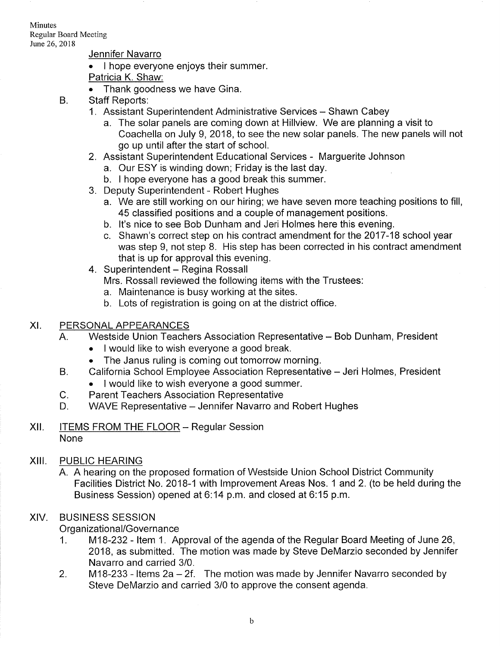Minutes Regular Board Meeting June 26, 2018

#### Jennifer Navarro

- I hope everyone enjoys their summer.
- Patricia K. Shaw:
- Thank goodness we have Gina.
- Staff Reports: B.
	- 1. Assistant Superintendent Administrative Services Shawn Cabey
		- a. The solar panels are coming down at Hillview. We are planning a visit to Coachella on July 9,2018, to see the new solar panels. The new panels will not go up until after the start of school.
	- 2. Assistant Superintendent Educational Services Marguerite Johnson a. Our ESY is winding down; Friday is the last day.
		-
		- b. I hope everyone has a good break this summer.
	- 3. Deputy Superintendent Robert Hughes
		- a. We are still working on our hiring; we have seven more teaching positions to fill, 45 classified positions and a couple of management positions.<br>b. It's nice to see Bob Dunham and Jeri Holmes here this evening.
		-
	- c. Shawn's correct step on his contract amendment for the 2017-18 school year was step 9, not step 8. His step has been corrected in his contract amendment that is up for approval this evening.<br>4. Superintendent – Regina Rossall
	- - Mrs. Rossall reviewed the following items with the Trustees:
		-
		- a. Maintenance is busy working at the sites. b. Lots of registration is going on at the district office.

#### XI. PERSONALAPPEARANCES

- A. Westside Union Teachers Association Representative Bob Dunham, President
	- . I would like to wish everyone a good break.
	- The Janus ruling is coming out tomorrow morning.
- California School Employee Association Representative Jeri Holmes, President B.
	- . I would like to wish everyone a good summer.
- Parent Teachers Association Representative  $C_{\cdot}$
- WAVE Representative Jennifer Navarro and Robert Hughes D.
- XII. <u>ITEMS FROM THE FLOOR</u> Regular Sessior **None**

## XIII. PUBLIC HEARING

A. A hearing on the proposed formation of Westside Union School District Community Facilities District No. 2018-1 with lmprovement Areas Nos. 1 and 2. (to be held during the Business Session) opened at 6:14 p.m. and closed at 6:15 p.m.

## XIV. BUSINESS SESSION

- Organizational/Governance<br>1. M18-232 Item 1. Approval of the agenda of the Regular Board Meeting of June 26, 2018, as submitted. The motion was made by Steve DeMarzio seconded by Jennifer Navarro and carried 3/0.
- 2. M18-233 Items  $2a 2f$ . The motion was made by Jennifer Navarro seconded by Steve DeMarzio and carried 3/0 to approve the consent agenda.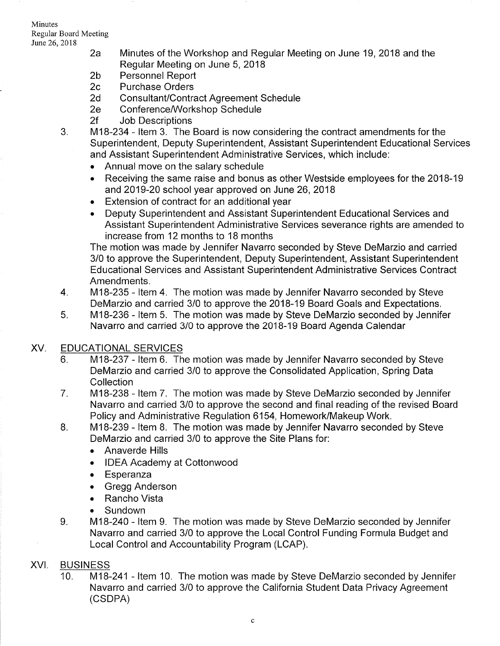- June26,2018 2a Minutes of the Workshop and Regular Meeting on June 19,2018 and the Regular Meeting on June 5, 2018<br>2b Personnel Report<br>2c Purchase Orders
	-
	-
	-
	-
	-
	- 2d Consultant/Contract Agreement Schedule<br>2e Conference/Workshop Schedule<br>2f Job Descriptions 3. lull M18-234 ltem 3. The Board is now considering the contract amendments for the Superintendent, Deputy Superintendent, Assistant Superintendent Educational Services and Assistant Superintendent Administrative Services, which include:
		- . Annual move on the salary schedule
		- . Receiving the same raise and bonus as other Westside employees for the 2018-19 and 2019-20 school year approved on June 26, 2018
		- . Extension of contract for an additional year
		- . Deputy Superintendent and Assistant Superintendent Educational Services and Assistant Superintendent Administrative Services severance rights are amended to increase from 12 months to 18 months

The motion was made by Jennifer Navarro seconded by Steve DeMarzio and carried 3/0 to approve the Superintendent, Deputy Superintendent, Assistant Superintendent Educational Services and Assistant Superintendent Administrative Services Contract Amendments.

- 4. M18-235 ltem 4. The motion was made by Jennifer Navarro seconded by Steve
- 5. M18-236 Item 5. The motion was made by Steve DeMarzio seconded by Jennifer Navarro and carried 3/0 to approve the 2018-19 Board Agenda Calendar

# XV. EDUCATIONAL SERVICES

- 6. M18-237 Item 6. The motion was made by Jennifer Navarro seconded by Steve DeMarzio and carried 3/0 to approve the Consolidated Application, Spring Data **Collection**
- 7. M18-238 ltem 7. The motion was made by Steve DeMarzio seconded by Jennifer Navarro and carried 3/0 to approve the second and final reading of the revised Board Policy and Administrative Regulation 6154, Homework/Makeup Work. B. M18-239 - ltem B. The motion was made by Jennifer Navarro seconded by Steve
- DeMarzio and carried 3/0 to approve the Site Plans for:
	- . Anaverde Hills
	- . IDEA Academy at Cottonwood
	- . Esperanza
	- . Gregg Anderson
	- . Rancho Vista
	-
- Sundown<br>9. M18-240 Item 9. The motion was made by Steve DeMarzio seconded by Jennifer Navarro and carried 3/0 to approve the Local Control Funding Formula Budget and Local Control and Accountability Program (LCAP).

# XVI. BUSINESS

M18-241 - Item 10. The motion was made by Steve DeMarzio seconded by Jennifer Navarro and carried 3/0 to approve the California Student Data Privacy Agreement (csDPA)  $10<sub>1</sub>$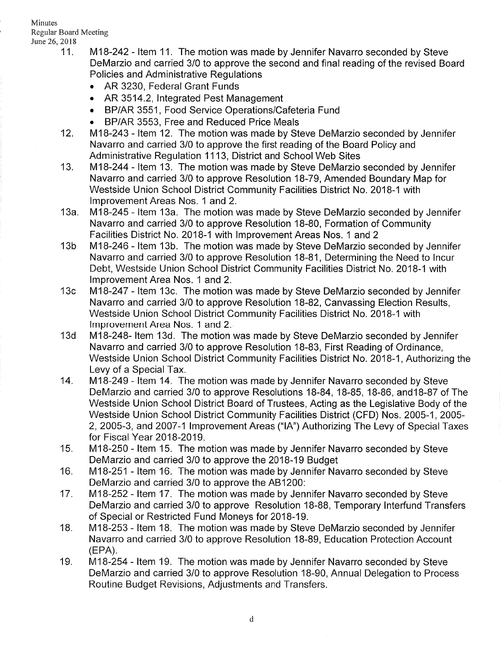- 11. M18-242 Item 11. The motion was made by Jennifer Navarro seconded by Steve DeMarzio and carried 3/0 to approve the second and final reading of the revised Board Policies and Administrative Regulations
	- . AR 3230, Federal Grant Funds
	- AR 3514.2, Integrated Pest Management
	- BP/AR 3551, Food Service Operations/Cafeteria Fund
	-
- BP/AR 3553, Free and Reduced Price Meals BP/AR 3553, Free and Reduced Price Meals<br>12. M18-243 Item 12. The motion was made by Steve DeMarzio seconded by Jennifer Navarro and carried 3/0 to approve the first reading of the Board Policy and Administrative Regulation 1113, District and School Web Sites 13. 1V118-244 - ltem 13. The motion was made by Steve DeMarzio seconded by Jennifer
- Navarro and carried 3/0 to approve Resolution 18-79, Amended Boundary Map for Westside Union School District Community Facilities District No.2018-1 with lmprovement Areas Nos. 1 and 2.
- 13a. M18-245 Item 13a. The motion was made by Steve DeMarzio seconded by Jennifer Navarro and carried 3/0 to approve Resolution 18-80, Formation of Community Facilities District No. 2018-1 with Improvement Areas Nos. 1 and 2<br>13b ftm 13b. The motion was made by Steve DeMarzio seconded by Jennifer
- Navarro and carried 3/0 to approve Resolution 18-81, Determining the Need to lncur Debt, Westside Union School District Community Facilities District No. 2018-1 with lmprovement Area Nos. 1 and 2. 13c 1V118-247 - ltem 13c. The motion was made by Steve DeMarzio seconded by Jennifer
- Navarro and carried 3/0 to approve Resolution 18-82, Canvassing Election Results, Westside Union School District Community Facilities District No. 2018-1 with lmprovement Area Nos. 1 and 2.<br>13d IM18-248- Item 13d. The motion was made by Steve DeMarzio seconded by Jennifer
- Navarro and carried 3/0 to approve Resolution 18-83, First Reading of Ordinance, Westside Union School District Community Facilities District No. 2018-1, Authorizing the Levy of a Special Tax.<br>14. 14B-249 - Item 14. The motion was made by Jennifer Navarro seconded by Steve
- DeMarzio and carried 3/0 to approve Resolutions 18-84, 18-85, 18-86, and18-87 of The Westside Union School District Board of Trustees, Acting as the Legislative Body of the Westside Union School District Community Facilities District (CFD) Nos. 2005-1, 2005-2,2005-3, and 2007-1 lmprovement Areas ("14") Authorizing The Levy of Special Taxes for Fiscal Year 2018-2019.
- 15. M18-250 ltem '15. The motion was made by Jennifer Navarro seconded by Steve DeMarzio and carried 3/0 to approve the 2018-19 Budget 16. M18-251 - ltem '16. The motion was made by Jennifer Navarro seconded by Steve
- DeMarzio and carried 3/0 to approve the AB1200:<br>17. lomande by Jennifer Navarro seconded by Steve
- DeMarzio and carried 3/0 to approve Resolution 18-88, Temporary Interfund Transfers of Special or Restricted Fund Moneys for 2018-19. 18. M18-253 - ltem 18. The motion was made by Steve DeMarzio seconded by Jennifer
- Navarro and carried 3/0 to approve Resolution 18-89, Education Protection Account (EPA). 19. 1\ti1ï-254 - ltem 19. The motion was made by Jennifer Navarro seconded by Steve
- DeMarzio and carried 3/0 to approve Resolution 1B-90, Annual Delegation to Process Routine Budget Revisions, Adjustments and Transfers.